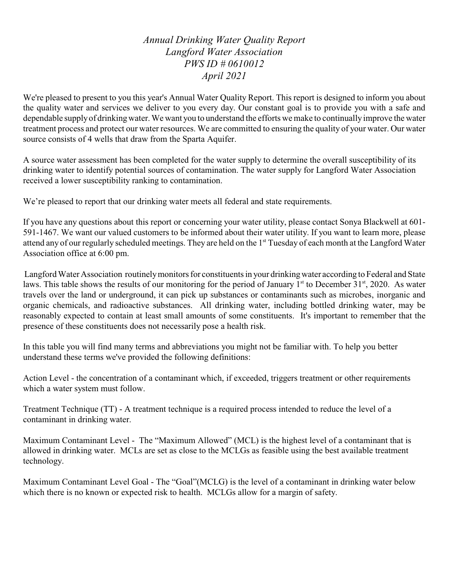*Annual Drinking Water Quality Report Langford Water Association PWS ID # 0610012 April 2021*

We're pleased to present to you this year's Annual Water Quality Report. This report is designed to inform you about the quality water and services we deliver to you every day. Our constant goal is to provide you with a safe and dependable supply of drinking water. We want you to understand the efforts we make to continually improve the water treatment process and protect our water resources. We are committed to ensuring the quality of your water. Our water source consists of 4 wells that draw from the Sparta Aquifer.

A source water assessment has been completed for the water supply to determine the overall susceptibility of its drinking water to identify potential sources of contamination. The water supply for Langford Water Association received a lower susceptibility ranking to contamination.

We're pleased to report that our drinking water meets all federal and state requirements.

If you have any questions about this report or concerning your water utility, please contact Sonya Blackwell at 601- 591-1467. We want our valued customers to be informed about their water utility. If you want to learn more, please attend any of our regularly scheduled meetings. They are held on the 1<sup>st</sup> Tuesday of each month at the Langford Water Association office at 6:00 pm.

Langford Water Association routinelymonitors for constituents in your drinkingwater according to Federal and State laws. This table shows the results of our monitoring for the period of January  $1<sup>st</sup>$  to December 31 $<sup>st</sup>$ , 2020. As water</sup> travels over the land or underground, it can pick up substances or contaminants such as microbes, inorganic and organic chemicals, and radioactive substances. All drinking water, including bottled drinking water, may be reasonably expected to contain at least small amounts of some constituents. It's important to remember that the presence of these constituents does not necessarily pose a health risk.

In this table you will find many terms and abbreviations you might not be familiar with. To help you better understand these terms we've provided the following definitions:

Action Level - the concentration of a contaminant which, if exceeded, triggers treatment or other requirements which a water system must follow.

Treatment Technique (TT) - A treatment technique is a required process intended to reduce the level of a contaminant in drinking water.

Maximum Contaminant Level - The "Maximum Allowed" (MCL) is the highest level of a contaminant that is allowed in drinking water. MCLs are set as close to the MCLGs as feasible using the best available treatment technology.

Maximum Contaminant Level Goal - The "Goal"(MCLG) is the level of a contaminant in drinking water below which there is no known or expected risk to health. MCLGs allow for a margin of safety.